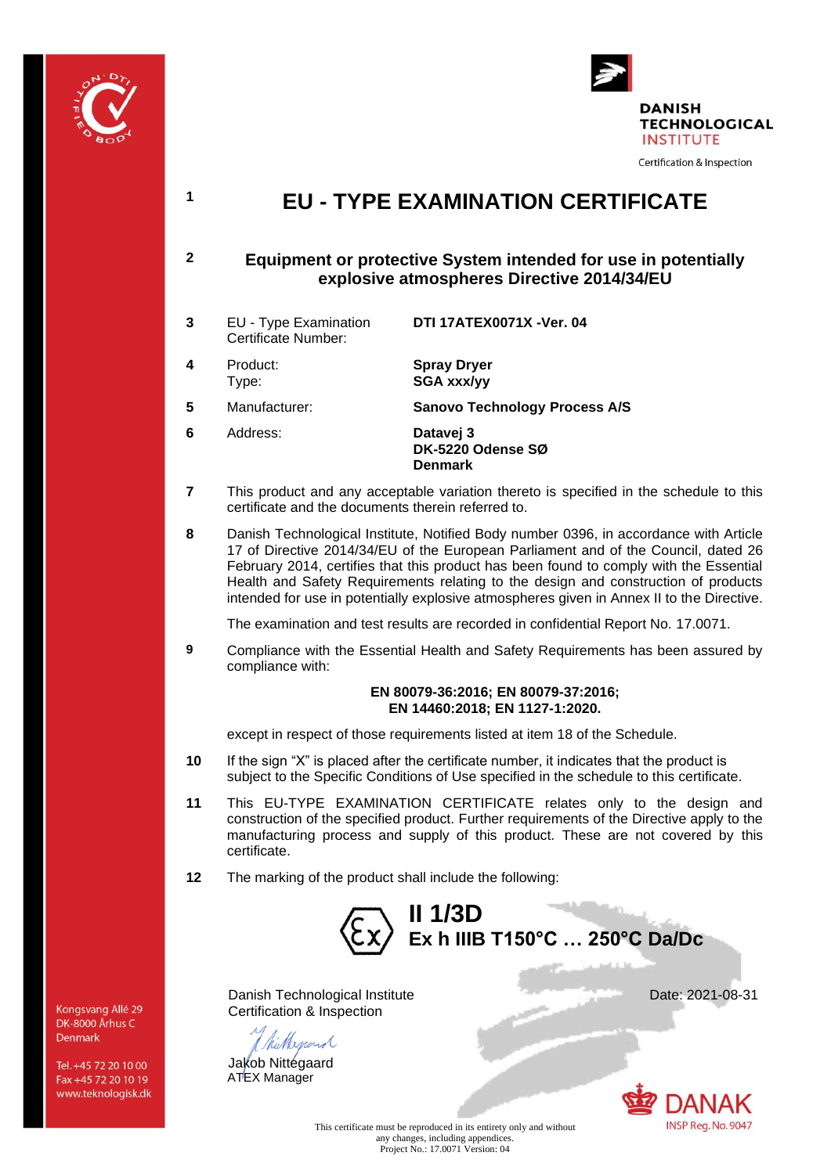



# **<sup>1</sup> EU - TYPE EXAMINATION CERTIFICATE**

### **2 Equipment or protective System intended for use in potentially explosive atmospheres Directive 2014/34/EU**

- **3** EU Type Examination Certificate Number: **DTI 17ATEX0071X -Ver. 04 4** Product: **Spray Dryer**
- Type:

**5** Manufacturer: **Sanovo Technology Process A/S**

**SGA xxx/yy**

- **6** Address: **Datavej 3 DK-5220 Odense SØ Denmark**
- **7** This product and any acceptable variation thereto is specified in the schedule to this certificate and the documents therein referred to.
- **8** Danish Technological Institute, Notified Body number 0396, in accordance with Article 17 of Directive 2014/34/EU of the European Parliament and of the Council, dated 26 February 2014, certifies that this product has been found to comply with the Essential Health and Safety Requirements relating to the design and construction of products intended for use in potentially explosive atmospheres given in Annex II to the Directive.

The examination and test results are recorded in confidential Report No. 17.0071.

**9** Compliance with the Essential Health and Safety Requirements has been assured by compliance with:

#### **EN 80079-36:2016; EN 80079-37:2016; EN 14460:2018; EN 1127-1:2020.**

except in respect of those requirements listed at item 18 of the Schedule.

- **10** If the sign "X" is placed after the certificate number, it indicates that the product is subject to the Specific Conditions of Use specified in the schedule to this certificate.
- **11** This EU-TYPE EXAMINATION CERTIFICATE relates only to the design and construction of the specified product. Further requirements of the Directive apply to the manufacturing process and supply of this product. These are not covered by this certificate.
- **12** The marking of the product shall include the following:



Danish Technological Institute Date: 2021-08-31 Certification & Inspection

Nepard

Jakob Nittegaard ATEX Manager



This certificate must be reproduced in its entirety only and without any changes, including appendices. Project No.: 17.0071 Version: 04

Kongsvang Allé 29 DK-8000 Århus C Denmark

Tel. +45 72 20 10 00 Fax +45 72 20 10 19 www.teknologisk.dk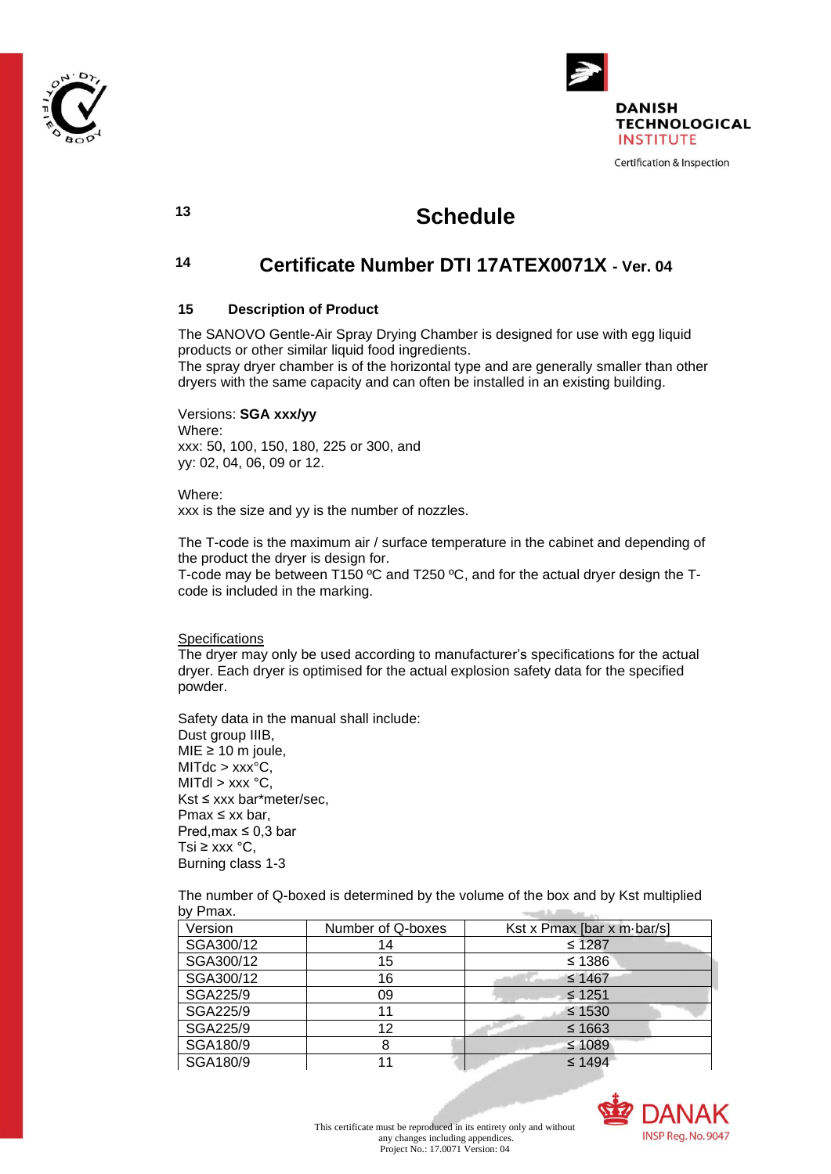



## **<sup>13</sup> Schedule**

### **<sup>14</sup> Certificate Number DTI 17ATEX0071X - Ver. 04**

#### **15 Description of Product**

The SANOVO Gentle-Air Spray Drying Chamber is designed for use with egg liquid products or other similar liquid food ingredients.

The spray dryer chamber is of the horizontal type and are generally smaller than other dryers with the same capacity and can often be installed in an existing building.

Versions: **SGA xxx/yy** Where: xxx: 50, 100, 150, 180, 225 or 300, and yy: 02, 04, 06, 09 or 12.

Where: xxx is the size and yy is the number of nozzles.

The T-code is the maximum air / surface temperature in the cabinet and depending of the product the dryer is design for. T-code may be between T150 ºC and T250 ºC, and for the actual dryer design the Tcode is included in the marking.

**Specifications** 

The dryer may only be used according to manufacturer's specifications for the actual dryer. Each dryer is optimised for the actual explosion safety data for the specified powder.

Safety data in the manual shall include: Dust group IIIB, MIE  $\geq 10$  m joule,  $MITdc > XXX<sup>o</sup>C$ . MITdl  $>$  xxx  $^{\circ}$ C, Kst ≤ xxx bar\*meter/sec, Pmax ≤ xx bar, Pred, max  $\leq 0.3$  bar Tsi ≥ xxx  $^{\circ}$ C, Burning class 1-3

The number of Q-boxed is determined by the volume of the box and by Kst multiplied by Pmax. worth filling as

| Version   | Number of Q-boxes | Kst x Pmax [bar x m-bar/s] |
|-----------|-------------------|----------------------------|
| SGA300/12 | 14                | $≤ 1287$                   |
| SGA300/12 | 15                | $≤ 1386$                   |
| SGA300/12 | 16                | $≤ 1467$                   |
| SGA225/9  | 09                | $\leq 1251$                |
| SGA225/9  |                   | $\leq 1530$                |
| SGA225/9  | 12                | $\leq 1663$                |
| SGA180/9  |                   | $≤ 1089$                   |
| SGA180/9  |                   | $\leq 1494$                |

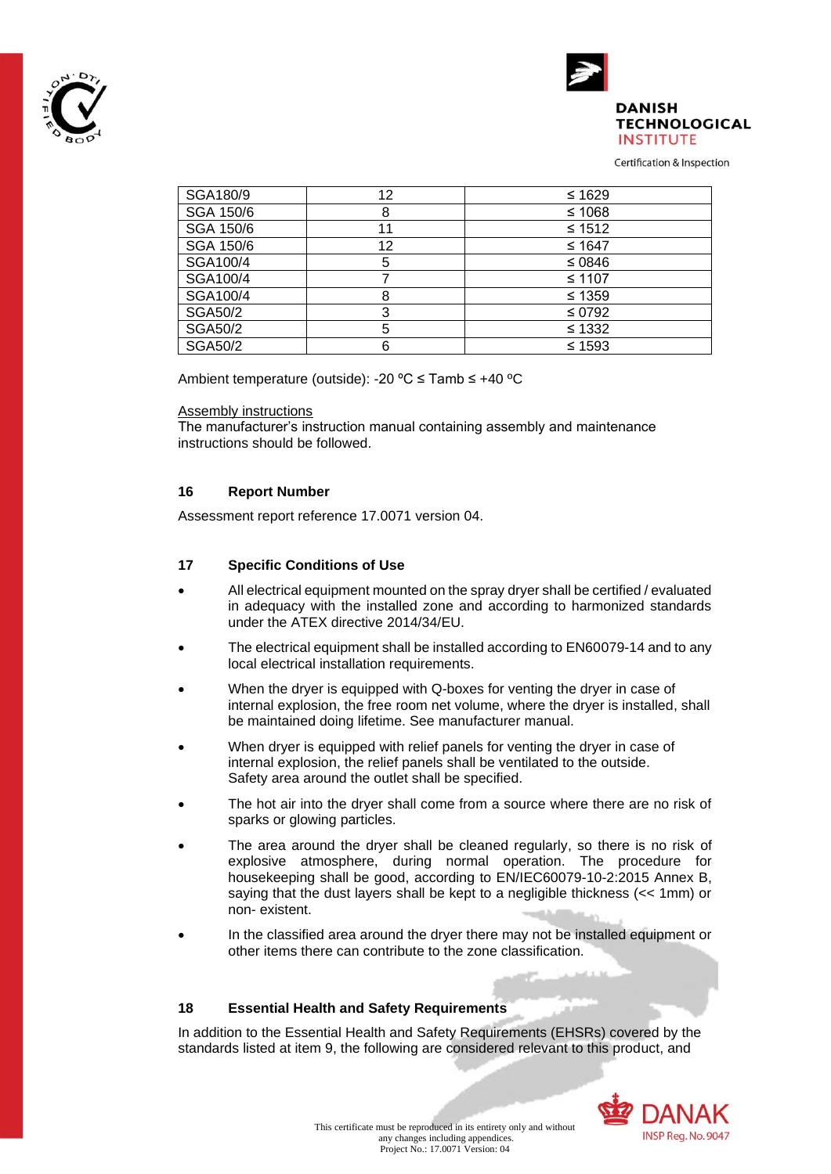



Certification & Inspection

| SGA180/9       | 12 | ≤ 1629      |
|----------------|----|-------------|
| SGA 150/6      | 8  | $≤ 1068$    |
| SGA 150/6      |    | $≤ 1512$    |
| SGA 150/6      | 12 | $≤ 1647$    |
| SGA100/4       | 5  | ≤ 0846      |
| SGA100/4       |    | $≤ 1107$    |
| SGA100/4       |    | $\leq 1359$ |
| <b>SGA50/2</b> | 3  | $\leq 0792$ |
| <b>SGA50/2</b> | 5  | $≤ 1332$    |
| <b>SGA50/2</b> |    | $≤ 1593$    |

Ambient temperature (outside): -20 ºC ≤ Tamb ≤ +40 ºC

#### Assembly instructions

The manufacturer's instruction manual containing assembly and maintenance instructions should be followed.

#### **16 Report Number**

Assessment report reference 17.0071 version 04.

#### **17 Specific Conditions of Use**

- All electrical equipment mounted on the spray dryer shall be certified / evaluated in adequacy with the installed zone and according to harmonized standards under the ATEX directive 2014/34/EU.
- The electrical equipment shall be installed according to EN60079-14 and to any local electrical installation requirements.
- When the dryer is equipped with Q-boxes for venting the dryer in case of internal explosion, the free room net volume, where the dryer is installed, shall be maintained doing lifetime. See manufacturer manual.
- When dryer is equipped with relief panels for venting the dryer in case of internal explosion, the relief panels shall be ventilated to the outside. Safety area around the outlet shall be specified.
- The hot air into the dryer shall come from a source where there are no risk of sparks or glowing particles.
- The area around the dryer shall be cleaned regularly, so there is no risk of explosive atmosphere, during normal operation. The procedure for housekeeping shall be good, according to EN/IEC60079-10-2:2015 Annex B, saying that the dust layers shall be kept to a negligible thickness (<< 1mm) or non- existent.
- In the classified area around the dryer there may not be installed equipment or other items there can contribute to the zone classification.

#### **18 Essential Health and Safety Requirements**

In addition to the Essential Health and Safety Requirements (EHSRs) covered by the standards listed at item 9, the following are considered relevant to this product, and